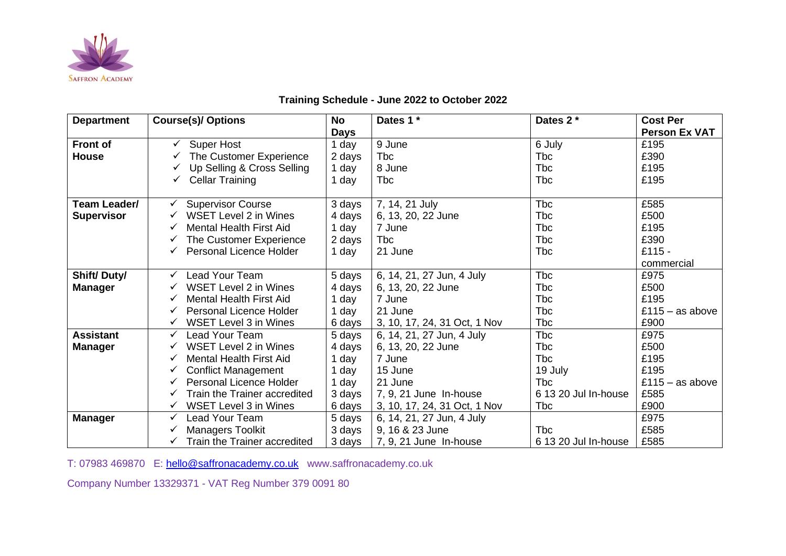

## **Training Schedule - June 2022 to October 2022**

| <b>Department</b>  | <b>Course(s)/ Options</b>         | <b>No</b>   | Dates 1 *                    | Dates 2 *            | <b>Cost Per</b>      |
|--------------------|-----------------------------------|-------------|------------------------------|----------------------|----------------------|
|                    |                                   | <b>Days</b> |                              |                      | <b>Person Ex VAT</b> |
| <b>Front of</b>    | <b>Super Host</b><br>✓            | 1 day       | 9 June                       | 6 July               | £195                 |
| <b>House</b>       | The Customer Experience           | 2 days      | <b>T</b> bc                  | <b>Tbc</b>           | £390                 |
|                    | Up Selling & Cross Selling        | day         | 8 June                       | <b>T</b> bc          | £195                 |
|                    | <b>Cellar Training</b>            | 1 day       | Tbc                          | Tbc                  | £195                 |
|                    |                                   |             |                              |                      |                      |
| Team Leader/       | <b>Supervisor Course</b>          | 3 days      | 7, 14, 21 July               | Tbc                  | £585                 |
| <b>Supervisor</b>  | <b>WSET Level 2 in Wines</b>      | 4 days      | 6, 13, 20, 22 June           | Tbc                  | £500                 |
|                    | <b>Mental Health First Aid</b>    | 1 day       | 7 June                       | Tbc                  | £195                 |
|                    | The Customer Experience           | 2 days      | <b>T</b> bc                  | Tbc                  | £390                 |
|                    | <b>Personal Licence Holder</b>    | 1 day       | 21 June                      | Tbc                  | $£115 -$             |
|                    |                                   |             |                              |                      | commercial           |
| <b>Shift/Duty/</b> | <b>Lead Your Team</b>             | 5 days      | 6, 14, 21, 27 Jun, 4 July    | <b>Tbc</b>           | £975                 |
| <b>Manager</b>     | <b>WSET Level 2 in Wines</b>      | 4 days      | 6, 13, 20, 22 June           | Tbc                  | £500                 |
|                    | <b>Mental Health First Aid</b>    | day         | 7 June                       | Tbc                  | £195                 |
|                    | Personal Licence Holder           | day         | 21 June                      | Tbc                  | £115 $-$ as above    |
|                    | <b>WSET Level 3 in Wines</b>      | 6 days      | 3, 10, 17, 24, 31 Oct, 1 Nov | Tbc                  | £900                 |
| <b>Assistant</b>   | Lead Your Team                    | 5 days      | 6, 14, 21, 27 Jun, 4 July    | <b>Tbc</b>           | £975                 |
| <b>Manager</b>     | <b>WSET Level 2 in Wines</b>      | 4 days      | 6, 13, 20, 22 June           | <b>Tbc</b>           | £500                 |
|                    | <b>Mental Health First Aid</b>    | day         | 7 June                       | Tbc                  | £195                 |
|                    | <b>Conflict Management</b>        | day         | 15 June                      | 19 July              | £195                 |
|                    | <b>Personal Licence Holder</b>    | day         | 21 June                      | Tbc                  | £115 $-$ as above    |
|                    | Train the Trainer accredited<br>✓ | 3 days      | 7, 9, 21 June In-house       | 6 13 20 Jul In-house | £585                 |
|                    | WSET Level 3 in Wines             | 6 days      | 3, 10, 17, 24, 31 Oct, 1 Nov | Tbc                  | £900                 |
| <b>Manager</b>     | Lead Your Team                    | 5 days      | 6, 14, 21, 27 Jun, 4 July    |                      | £975                 |
|                    | Managers Toolkit                  | 3 days      | 9, 16 & 23 June              | Tbc                  | £585                 |
|                    | Train the Trainer accredited      | 3 days      | 7, 9, 21 June In-house       | 6 13 20 Jul In-house | £585                 |

T: 07983 469870 E: [hello@saffronacademy.co.uk](mailto:hello@saffronacademy.co.uk) www.saffronacademy.co.uk

Company Number 13329371 - VAT Reg Number 379 0091 80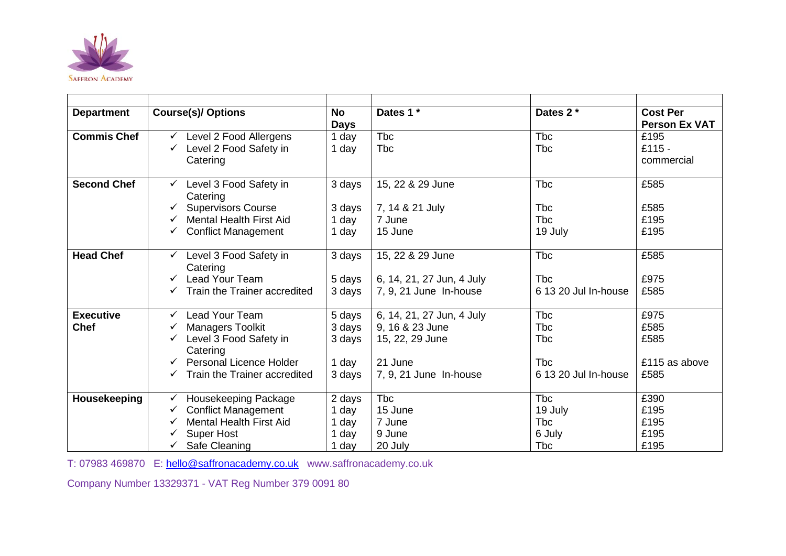

| <b>Department</b>  | <b>Course(s)/ Options</b>                    | <b>No</b>   | Dates 1 *                 | Dates 2 *            | <b>Cost Per</b>      |
|--------------------|----------------------------------------------|-------------|---------------------------|----------------------|----------------------|
|                    |                                              | <b>Days</b> |                           |                      | <b>Person Ex VAT</b> |
| <b>Commis Chef</b> | Level 2 Food Allergens                       | 1 day       | <b>Tbc</b>                | <b>T</b> bc          | £195                 |
|                    | Level 2 Food Safety in                       | 1 day       | <b>T</b> bc               | <b>T</b> bc          | $£115 -$             |
|                    | Catering                                     |             |                           |                      | commercial           |
|                    |                                              |             |                           |                      |                      |
| <b>Second Chef</b> | Level 3 Food Safety in<br>$\checkmark$       | 3 days      | 15, 22 & 29 June          | <b>T</b> bc          | £585                 |
|                    | Catering                                     |             |                           |                      |                      |
|                    | <b>Supervisors Course</b>                    | 3 days      | 7, 14 & 21 July           | <b>T</b> bc          | £585                 |
|                    | <b>Mental Health First Aid</b>               | 1 day       | 7 June                    | <b>T</b> bc          | £195                 |
|                    | <b>Conflict Management</b><br>$\checkmark$   | 1 day       | 15 June                   | 19 July              | £195                 |
|                    |                                              |             |                           |                      |                      |
| <b>Head Chef</b>   | Level 3 Food Safety in<br>$\checkmark$       | 3 days      | 15, 22 & 29 June          | <b>T</b> bc          | £585                 |
|                    | Catering                                     |             |                           |                      |                      |
|                    | Lead Your Team                               | 5 days      | 6, 14, 21, 27 Jun, 4 July | <b>T</b> bc          | £975                 |
|                    | Train the Trainer accredited                 | 3 days      | 7, 9, 21 June In-house    | 6 13 20 Jul In-house | £585                 |
|                    |                                              |             |                           |                      |                      |
| <b>Executive</b>   | <b>Lead Your Team</b><br>✓                   | 5 days      | 6, 14, 21, 27 Jun, 4 July | <b>T</b> bc          | £975                 |
| <b>Chef</b>        | <b>Managers Toolkit</b>                      | 3 days      | 9, 16 & 23 June           | <b>T</b> bc          | £585                 |
|                    | Level 3 Food Safety in                       | 3 days      | 15, 22, 29 June           | <b>T</b> bc          | £585                 |
|                    | Catering                                     |             |                           |                      |                      |
|                    | Personal Licence Holder                      | 1 day       | 21 June                   | <b>T</b> bc          | £115 as above        |
|                    | Train the Trainer accredited<br>$\checkmark$ | 3 days      | 7, 9, 21 June In-house    | 6 13 20 Jul In-house | £585                 |
|                    |                                              |             |                           |                      |                      |
| Housekeeping       | Housekeeping Package<br>$\checkmark$         | 2 days      | <b>T</b> bc               | <b>T</b> bc          | £390                 |
|                    | <b>Conflict Management</b><br>✓              | 1 day       | 15 June                   | 19 July              | £195                 |
|                    | <b>Mental Health First Aid</b>               | 1 day       | 7 June                    | <b>T</b> bc          | £195                 |
|                    | <b>Super Host</b>                            | 1 day       | 9 June                    | 6 July               | £195                 |
|                    | Safe Cleaning                                | 1 day       | 20 July                   | <b>T</b> bc          | £195                 |

T: 07983 469870 E: [hello@saffronacademy.co.uk](mailto:hello@saffronacademy.co.uk) www.saffronacademy.co.uk

Company Number 13329371 - VAT Reg Number 379 0091 80